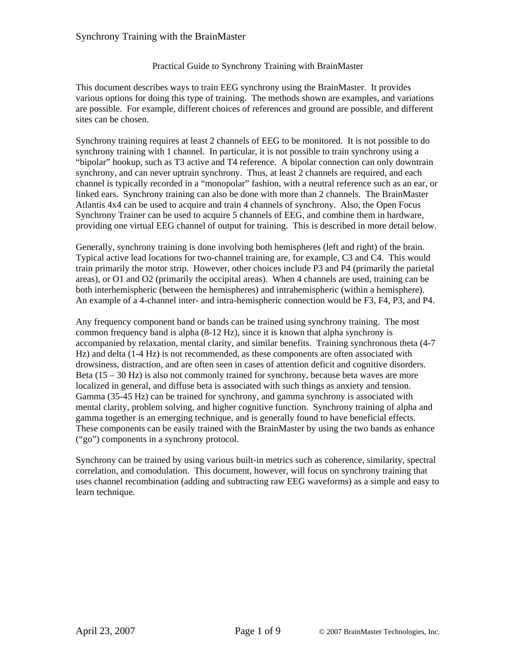#### Practical Guide to Synchrony Training with BrainMaster

This document describes ways to train EEG synchrony using the BrainMaster. It provides various options for doing this type of training. The methods shown are examples, and variations are possible. For example, different choices of references and ground are possible, and different sites can be chosen.

Synchrony training requires at least 2 channels of EEG to be monitored. It is not possible to do synchrony training with 1 channel. In particular, it is not possible to train synchrony using a "bipolar" hookup, such as T3 active and T4 reference. A bipolar connection can only downtrain synchrony, and can never uptrain synchrony. Thus, at least 2 channels are required, and each channel is typically recorded in a "monopolar" fashion, with a neutral reference such as an ear, or linked ears. Synchrony training can also be done with more than 2 channels. The BrainMaster Atlantis 4x4 can be used to acquire and train 4 channels of synchrony. Also, the Open Focus Synchrony Trainer can be used to acquire 5 channels of EEG, and combine them in hardware, providing one virtual EEG channel of output for training. This is described in more detail below.

Generally, synchrony training is done involving both hemispheres (left and right) of the brain. Typical active lead locations for two-channel training are, for example, C3 and C4. This would train primarily the motor strip. However, other choices include P3 and P4 (primarily the parietal areas), or O1 and O2 (primarily the occipital areas). When 4 channels are used, training can be both interhemispheric (between the hemispheres) and intrahemispheric (within a hemisphere). An example of a 4-channel inter- and intra-hemispheric connection would be F3, F4, P3, and P4.

Any frequency component band or bands can be trained using synchrony training. The most common frequency band is alpha (8-12 Hz), since it is known that alpha synchrony is accompanied by relaxation, mental clarity, and similar benefits. Training synchronous theta (4-7 Hz) and delta (1-4 Hz) is not recommended, as these components are often associated with drowsiness, distraction, and are often seen in cases of attention deficit and cognitive disorders. Beta  $(15 - 30$  Hz) is also not commonly trained for synchrony, because beta waves are more localized in general, and diffuse beta is associated with such things as anxiety and tension. Gamma (35-45 Hz) can be trained for synchrony, and gamma synchrony is associated with mental clarity, problem solving, and higher cognitive function. Synchrony training of alpha and gamma together is an emerging technique, and is generally found to have beneficial effects. These components can be easily trained with the BrainMaster by using the two bands as enhance ("go") components in a synchrony protocol.

Synchrony can be trained by using various built-in metrics such as coherence, similarity, spectral correlation, and comodulation. This document, however, will focus on synchrony training that uses channel recombination (adding and subtracting raw EEG waveforms) as a simple and easy to learn technique.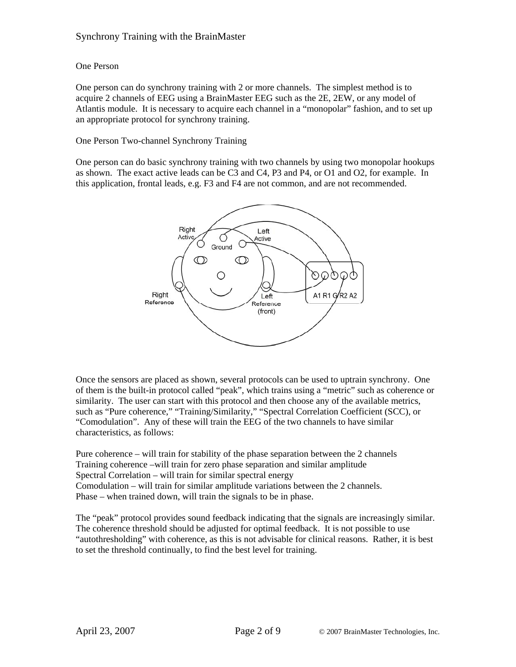## One Person

One person can do synchrony training with 2 or more channels. The simplest method is to acquire 2 channels of EEG using a BrainMaster EEG such as the 2E, 2EW, or any model of Atlantis module. It is necessary to acquire each channel in a "monopolar" fashion, and to set up an appropriate protocol for synchrony training.

## One Person Two-channel Synchrony Training

One person can do basic synchrony training with two channels by using two monopolar hookups as shown. The exact active leads can be C3 and C4, P3 and P4, or O1 and O2, for example. In this application, frontal leads, e.g. F3 and F4 are not common, and are not recommended.



Once the sensors are placed as shown, several protocols can be used to uptrain synchrony. One of them is the built-in protocol called "peak", which trains using a "metric" such as coherence or similarity. The user can start with this protocol and then choose any of the available metrics, such as "Pure coherence," "Training/Similarity," "Spectral Correlation Coefficient (SCC), or "Comodulation". Any of these will train the EEG of the two channels to have similar characteristics, as follows:

Pure coherence – will train for stability of the phase separation between the 2 channels Training coherence –will train for zero phase separation and similar amplitude Spectral Correlation – will train for similar spectral energy Comodulation – will train for similar amplitude variations between the 2 channels. Phase – when trained down, will train the signals to be in phase.

The "peak" protocol provides sound feedback indicating that the signals are increasingly similar. The coherence threshold should be adjusted for optimal feedback. It is not possible to use "autothresholding" with coherence, as this is not advisable for clinical reasons. Rather, it is best to set the threshold continually, to find the best level for training.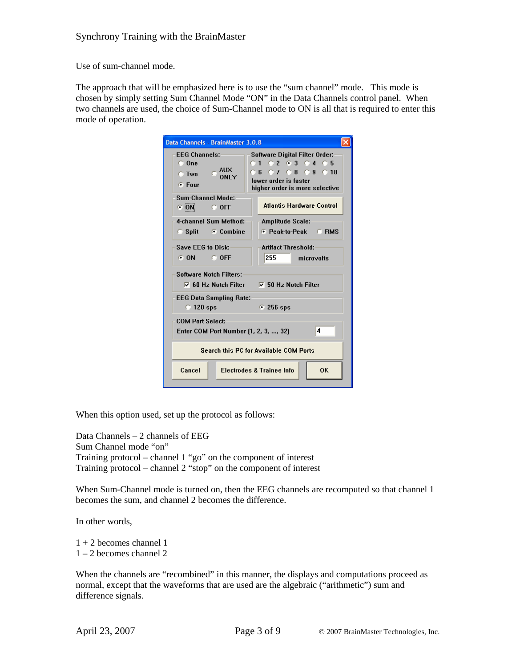Use of sum-channel mode.

The approach that will be emphasized here is to use the "sum channel" mode. This mode is chosen by simply setting Sum Channel Mode "ON" in the Data Channels control panel. When two channels are used, the choice of Sum-Channel mode to ON is all that is required to enter this mode of operation.

| Data Channels - BrainMaster 3.0.8                                                                     |                                                                                                                                                             |  |  |  |
|-------------------------------------------------------------------------------------------------------|-------------------------------------------------------------------------------------------------------------------------------------------------------------|--|--|--|
| <b>EEG Channels:</b><br>$\Box$ One<br>$C$ AUX<br>C Two<br><b>ONLY</b><br>$F$ Four                     | <b>Software Digital Filter Order:</b><br>$0.1$ $0.2$ $0.3$ $0.4$ $0.5$<br><b>06 07 08 09 010</b><br>lower order is faster<br>higher order is more selective |  |  |  |
| Sum-Channel Mode:<br>ON OFF                                                                           | <b>Atlantis Hardware Control</b>                                                                                                                            |  |  |  |
| 4-channel Sum Method:                                                                                 | <b>Amplitude Scale:</b>                                                                                                                                     |  |  |  |
| Split Combine                                                                                         | C Peak-to-Peak C RMS                                                                                                                                        |  |  |  |
| Save EEG to Disk:<br><b>Artifact Threshold:</b>                                                       |                                                                                                                                                             |  |  |  |
| C ON C OFF                                                                                            | 255<br>microvolts                                                                                                                                           |  |  |  |
| <b>Software Notch Filters:</b><br>$\overline{V}$ 60 Hz Notch Filter $\overline{V}$ 50 Hz Notch Filter |                                                                                                                                                             |  |  |  |
| <b>EEG Data Sampling Rate:</b><br>$\degree$ 120 sps                                                   | $\cdot$ 256 sps                                                                                                                                             |  |  |  |
| <b>COM Port Select:</b><br>4<br>Enter COM Port Number (1, 2, 3, , 32)                                 |                                                                                                                                                             |  |  |  |
| Search this PC for Available COM Ports                                                                |                                                                                                                                                             |  |  |  |
| Cancel                                                                                                | <b>Electrodes &amp; Trainee Info</b><br><b>OK</b>                                                                                                           |  |  |  |

When this option used, set up the protocol as follows:

Data Channels – 2 channels of EEG Sum Channel mode "on" Training protocol – channel 1 "go" on the component of interest Training protocol – channel 2 "stop" on the component of interest

When Sum-Channel mode is turned on, then the EEG channels are recomputed so that channel 1 becomes the sum, and channel 2 becomes the difference.

In other words,

 $1 + 2$  becomes channel 1

1 – 2 becomes channel 2

When the channels are "recombined" in this manner, the displays and computations proceed as normal, except that the waveforms that are used are the algebraic ("arithmetic") sum and difference signals.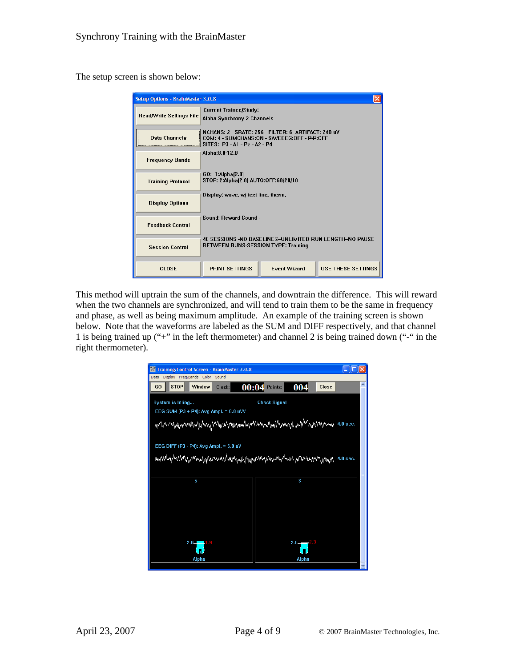The setup screen is shown below:

| Setup Options - BrainMaster 3.0.8 |                                                                                                                                  |                     |                           |  |
|-----------------------------------|----------------------------------------------------------------------------------------------------------------------------------|---------------------|---------------------------|--|
| Read/Write Settings File          | <b>Current Trainee/Study:</b><br>Alpha Synchrony 2 Channels                                                                      |                     |                           |  |
| Data Channels                     | NCHANS: 2 SRATE: 256 FILTER: 6 ARTIFACT: 240 uV<br>COM: 4 - SUMCHANS:ON - SAVEEEG:OFF - P-P:OFF<br>SITES: P3 - A1 - Pz - A2 - P4 |                     |                           |  |
| <b>Frequency Bands</b>            | Alpha:8.0-12.0                                                                                                                   |                     |                           |  |
| <b>Training Protocol</b>          | GO: 1:Alpha(2.0)<br>STOP: 2:Alpha(2.0) AUTO:OFF:60/20/10                                                                         |                     |                           |  |
| <b>Display Options</b>            | Display: wave, w/ text line, therm,                                                                                              |                     |                           |  |
| <b>Feedback Control</b>           | Sound: Reward Sound -                                                                                                            |                     |                           |  |
| <b>Session Control</b>            | 40 SESSIONS -NO BASELINES-UNLIMITED RUN LENGTH-NO PAUSE<br>BETWEEN RUNS-SESSION TYPE: Training                                   |                     |                           |  |
| <b>CLOSE</b>                      | <b>PRINT SETTINGS</b>                                                                                                            | <b>Event Wizard</b> | <b>USE THESE SETTINGS</b> |  |

This method will uptrain the sum of the channels, and downtrain the difference. This will reward when the two channels are synchronized, and will tend to train them to be the same in frequency and phase, as well as being maximum amplitude. An example of the training screen is shown below. Note that the waveforms are labeled as the SUM and DIFF respectively, and that channel 1 is being trained up ("+" in the left thermometer) and channel 2 is being trained down ("-" in the right thermometer).

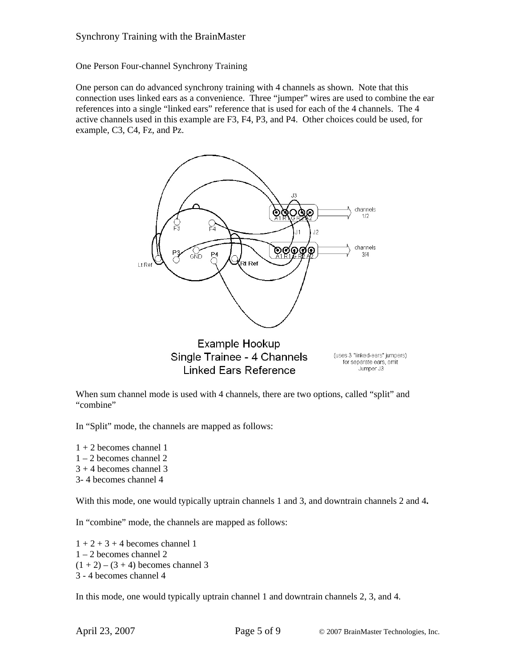One Person Four-channel Synchrony Training

One person can do advanced synchrony training with 4 channels as shown. Note that this connection uses linked ears as a convenience. Three "jumper" wires are used to combine the ear references into a single "linked ears" reference that is used for each of the 4 channels. The 4 active channels used in this example are F3, F4, P3, and P4. Other choices could be used, for example, C3, C4, Fz, and Pz.



Example Hookup Single Trainee - 4 Channels **Linked Ears Reference** 

(uses 3 "linked-ears" jumpers) for separate ears, omit Jumper J3

When sum channel mode is used with 4 channels, there are two options, called "split" and "combine"

In "Split" mode, the channels are mapped as follows:

- $1 + 2$  becomes channel 1 1 – 2 becomes channel 2  $3 + 4$  becomes channel 3
- 3- 4 becomes channel 4

With this mode, one would typically uptrain channels 1 and 3, and downtrain channels 2 and 4**.**

In "combine" mode, the channels are mapped as follows:

 $1 + 2 + 3 + 4$  becomes channel 1 1 – 2 becomes channel 2  $(1 + 2) - (3 + 4)$  becomes channel 3 3 - 4 becomes channel 4

In this mode, one would typically uptrain channel 1 and downtrain channels 2, 3, and 4.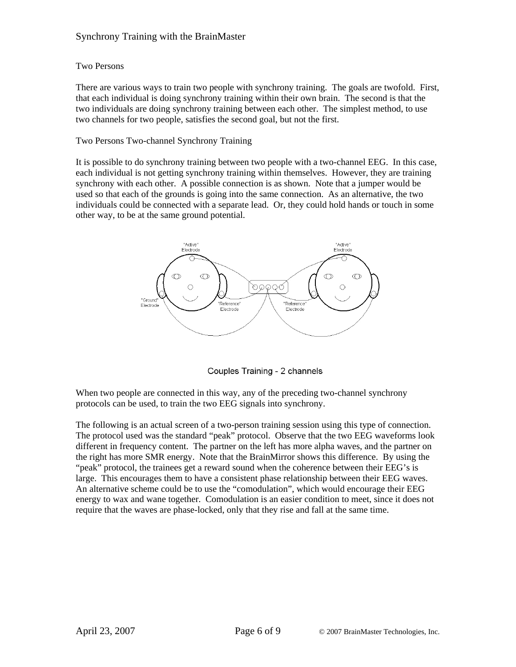#### Two Persons

There are various ways to train two people with synchrony training. The goals are twofold. First, that each individual is doing synchrony training within their own brain. The second is that the two individuals are doing synchrony training between each other. The simplest method, to use two channels for two people, satisfies the second goal, but not the first.

#### Two Persons Two-channel Synchrony Training

It is possible to do synchrony training between two people with a two-channel EEG. In this case, each individual is not getting synchrony training within themselves. However, they are training synchrony with each other. A possible connection is as shown. Note that a jumper would be used so that each of the grounds is going into the same connection. As an alternative, the two individuals could be connected with a separate lead. Or, they could hold hands or touch in some other way, to be at the same ground potential.



Couples Training - 2 channels

When two people are connected in this way, any of the preceding two-channel synchrony protocols can be used, to train the two EEG signals into synchrony.

The following is an actual screen of a two-person training session using this type of connection. The protocol used was the standard "peak" protocol. Observe that the two EEG waveforms look different in frequency content. The partner on the left has more alpha waves, and the partner on the right has more SMR energy. Note that the BrainMirror shows this difference. By using the "peak" protocol, the trainees get a reward sound when the coherence between their EEG's is large. This encourages them to have a consistent phase relationship between their EEG waves. An alternative scheme could be to use the "comodulation", which would encourage their EEG energy to wax and wane together. Comodulation is an easier condition to meet, since it does not require that the waves are phase-locked, only that they rise and fall at the same time.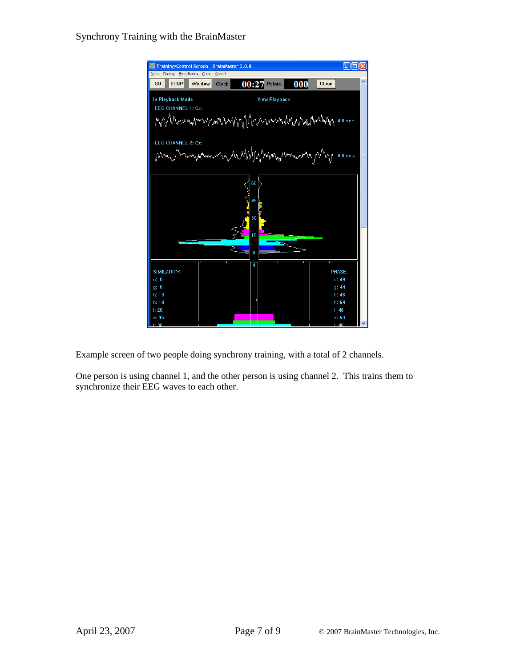

Example screen of two people doing synchrony training, with a total of 2 channels.

One person is using channel 1, and the other person is using channel 2. This trains them to synchronize their EEG waves to each other.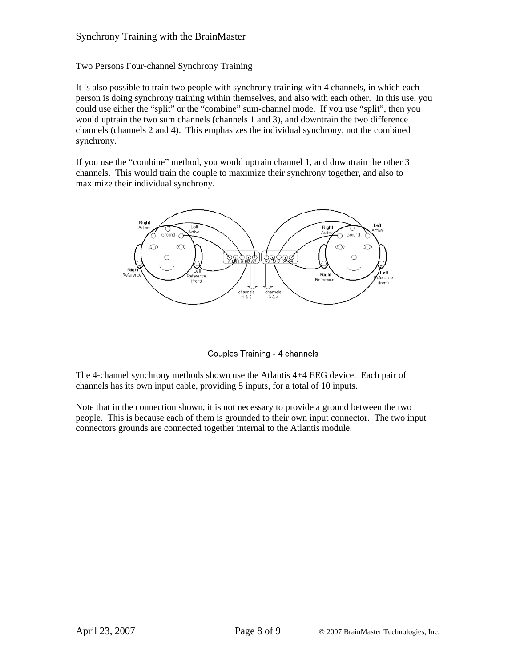Two Persons Four-channel Synchrony Training

It is also possible to train two people with synchrony training with 4 channels, in which each person is doing synchrony training within themselves, and also with each other. In this use, you could use either the "split" or the "combine" sum-channel mode. If you use "split", then you would uptrain the two sum channels (channels 1 and 3), and downtrain the two difference channels (channels 2 and 4). This emphasizes the individual synchrony, not the combined synchrony.

If you use the "combine" method, you would uptrain channel 1, and downtrain the other 3 channels. This would train the couple to maximize their synchrony together, and also to maximize their individual synchrony.



Couples Training - 4 channels

The 4-channel synchrony methods shown use the Atlantis 4+4 EEG device. Each pair of channels has its own input cable, providing 5 inputs, for a total of 10 inputs.

Note that in the connection shown, it is not necessary to provide a ground between the two people. This is because each of them is grounded to their own input connector. The two input connectors grounds are connected together internal to the Atlantis module.